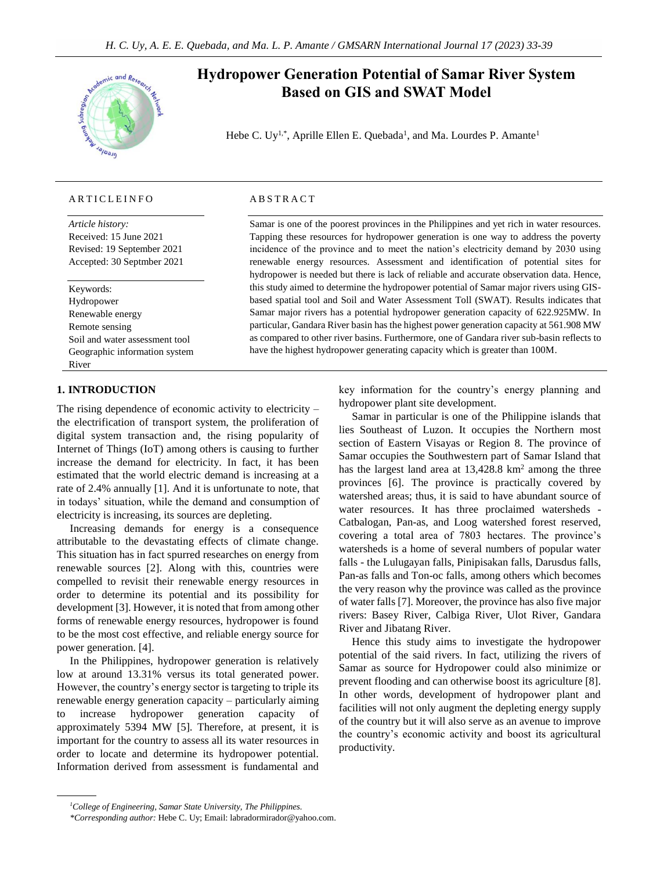

# **Hydropower Generation Potential of Samar River System Based on GIS and SWAT Model**

Hebe C. Uy<sup>1,\*</sup>, Aprille Ellen E. Quebada<sup>1</sup>, and Ma. Lourdes P. Amante<sup>1</sup>

## A R T I C L E I N F O

*Article history:* Received: 15 June 2021 Revised: 19 September 2021 Accepted: 30 Septmber 2021

Keywords: Hydropower Renewable energy Remote sensing Soil and water assessment tool Geographic information system River

# **1. INTRODUCTION**

The rising dependence of economic activity to electricity – the electrification of transport system, the proliferation of digital system transaction and, the rising popularity of Internet of Things (IoT) among others is causing to further increase the demand for electricity. In fact, it has been estimated that the world electric demand is increasing at a rate of 2.4% annually [1]. And it is unfortunate to note, that in todays' situation, while the demand and consumption of electricity is increasing, its sources are depleting.

Increasing demands for energy is a consequence attributable to the devastating effects of climate change. This situation has in fact spurred researches on energy from renewable sources [2]. Along with this, countries were compelled to revisit their renewable energy resources in order to determine its potential and its possibility for development [3]. However, it is noted that from among other forms of renewable energy resources, hydropower is found to be the most cost effective, and reliable energy source for power generation. [4].

In the Philippines, hydropower generation is relatively low at around 13.31% versus its total generated power. However, the country's energy sector is targeting to triple its renewable energy generation capacity – particularly aiming to increase hydropower generation capacity of approximately 5394 MW [5]. Therefore, at present, it is important for the country to assess all its water resources in order to locate and determine its hydropower potential. Information derived from assessment is fundamental and

#### **ABSTRACT**

Samar is one of the poorest provinces in the Philippines and yet rich in water resources. Tapping these resources for hydropower generation is one way to address the poverty incidence of the province and to meet the nation's electricity demand by 2030 using renewable energy resources. Assessment and identification of potential sites for hydropower is needed but there is lack of reliable and accurate observation data. Hence, this study aimed to determine the hydropower potential of Samar major rivers using GISbased spatial tool and Soil and Water Assessment Toll (SWAT). Results indicates that Samar major rivers has a potential hydropower generation capacity of 622.925MW. In particular, Gandara River basin has the highest power generation capacity at 561.908 MW as compared to other river basins. Furthermore, one of Gandara river sub-basin reflects to have the highest hydropower generating capacity which is greater than 100M.

> key information for the country's energy planning and hydropower plant site development.

> Samar in particular is one of the Philippine islands that lies Southeast of Luzon. It occupies the Northern most section of Eastern Visayas or Region 8. The province of Samar occupies the Southwestern part of Samar Island that has the largest land area at  $13,428.8 \text{ km}^2$  among the three provinces [6]. The province is practically covered by watershed areas; thus, it is said to have abundant source of water resources. It has three proclaimed watersheds -Catbalogan, Pan-as, and Loog watershed forest reserved, covering a total area of 7803 hectares. The province's watersheds is a home of several numbers of popular water falls - the Lulugayan falls, Pinipisakan falls, Darusdus falls, Pan-as falls and Ton-oc falls, among others which becomes the very reason why the province was called as the province of water falls [7]. Moreover, the province has also five major rivers: Basey River, Calbiga River, Ulot River, Gandara River and Jibatang River.

> Hence this study aims to investigate the hydropower potential of the said rivers. In fact, utilizing the rivers of Samar as source for Hydropower could also minimize or prevent flooding and can otherwise boost its agriculture [8]. In other words, development of hydropower plant and facilities will not only augment the depleting energy supply of the country but it will also serve as an avenue to improve the country's economic activity and boost its agricultural productivity.

*<sup>1</sup>College of Engineering, Samar State University, The Philippines.*

*<sup>\*</sup>Corresponding author:* Hebe C. Uy; Email: [labradormirador@yahoo.com.](mailto:labradormirador@yahoo.com)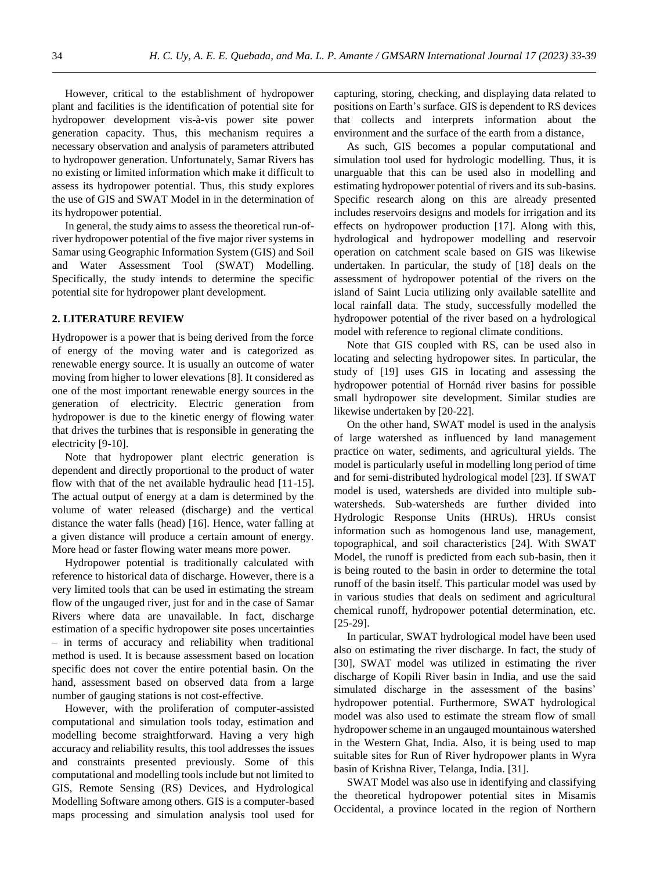However, critical to the establishment of hydropower plant and facilities is the identification of potential site for hydropower development vis-à-vis power site power generation capacity. Thus, this mechanism requires a necessary observation and analysis of parameters attributed to hydropower generation. Unfortunately, Samar Rivers has no existing or limited information which make it difficult to assess its hydropower potential. Thus, this study explores the use of GIS and SWAT Model in in the determination of its hydropower potential.

In general, the study aims to assess the theoretical run-ofriver hydropower potential of the five major river systems in Samar using Geographic Information System (GIS) and Soil and Water Assessment Tool (SWAT) Modelling. Specifically, the study intends to determine the specific potential site for hydropower plant development.

#### **2. LITERATURE REVIEW**

Hydropower is a power that is being derived from the force of energy of the moving water and is categorized as renewable energy source. It is usually an outcome of water moving from higher to lower elevations [8]. It considered as one of the most important renewable energy sources in the generation of electricity. Electric generation from hydropower is due to the kinetic energy of flowing water that drives the turbines that is responsible in generating the electricity [9-10].

Note that hydropower plant electric generation is dependent and directly proportional to the product of water flow with that of the net available hydraulic head [11-15]. The actual output of energy at a dam is determined by the volume of water released (discharge) and the vertical distance the water falls (head) [16]. Hence, water falling at a given distance will produce a certain amount of energy. More head or faster flowing water means more power.

Hydropower potential is traditionally calculated with reference to historical data of discharge. However, there is a very limited tools that can be used in estimating the stream flow of the ungauged river, just for and in the case of Samar Rivers where data are unavailable. In fact, discharge estimation of a specific hydropower site poses uncertainties – in terms of accuracy and reliability when traditional method is used. It is because assessment based on location specific does not cover the entire potential basin. On the hand, assessment based on observed data from a large number of gauging stations is not cost-effective.

However, with the proliferation of computer-assisted computational and simulation tools today, estimation and modelling become straightforward. Having a very high accuracy and reliability results, this tool addresses the issues and constraints presented previously. Some of this computational and modelling tools include but not limited to GIS, Remote Sensing (RS) Devices, and Hydrological Modelling Software among others. GIS is a computer-based maps processing and simulation analysis tool used for capturing, storing, checking, and displaying data related to positions on Earth's surface. GIS is dependent to RS devices that collects and interprets information about the environment and the surface of the earth from a distance,

As such, GIS becomes a popular computational and simulation tool used for hydrologic modelling. Thus, it is unarguable that this can be used also in modelling and estimating hydropower potential of rivers and its sub-basins. Specific research along on this are already presented includes reservoirs designs and models for irrigation and its effects on hydropower production [17]. Along with this, hydrological and hydropower modelling and reservoir operation on catchment scale based on GIS was likewise undertaken. In particular, the study of [18] deals on the assessment of hydropower potential of the rivers on the island of Saint Lucia utilizing only available satellite and local rainfall data. The study, successfully modelled the hydropower potential of the river based on a hydrological model with reference to regional climate conditions.

Note that GIS coupled with RS, can be used also in locating and selecting hydropower sites. In particular, the study of [19] uses GIS in locating and assessing the hydropower potential of Hornád river basins for possible small hydropower site development. Similar studies are likewise undertaken by [20-22].

On the other hand, SWAT model is used in the analysis of large watershed as influenced by land management practice on water, sediments, and agricultural yields. The model is particularly useful in modelling long period of time and for semi-distributed hydrological model [23]. If SWAT model is used, watersheds are divided into multiple subwatersheds. Sub-watersheds are further divided into Hydrologic Response Units (HRUs). HRUs consist information such as homogenous land use, management, topographical, and soil characteristics [24]. With SWAT Model, the runoff is predicted from each sub-basin, then it is being routed to the basin in order to determine the total runoff of the basin itself. This particular model was used by in various studies that deals on sediment and agricultural chemical runoff, hydropower potential determination, etc. [25-29].

In particular, SWAT hydrological model have been used also on estimating the river discharge. In fact, the study of [30], SWAT model was utilized in estimating the river discharge of Kopili River basin in India, and use the said simulated discharge in the assessment of the basins' hydropower potential. Furthermore, SWAT hydrological model was also used to estimate the stream flow of small hydropower scheme in an ungauged mountainous watershed in the Western Ghat, India. Also, it is being used to map suitable sites for Run of River hydropower plants in Wyra basin of Krishna River, Telanga, India. [31].

SWAT Model was also use in identifying and classifying the theoretical hydropower potential sites in Misamis Occidental, a province located in the region of Northern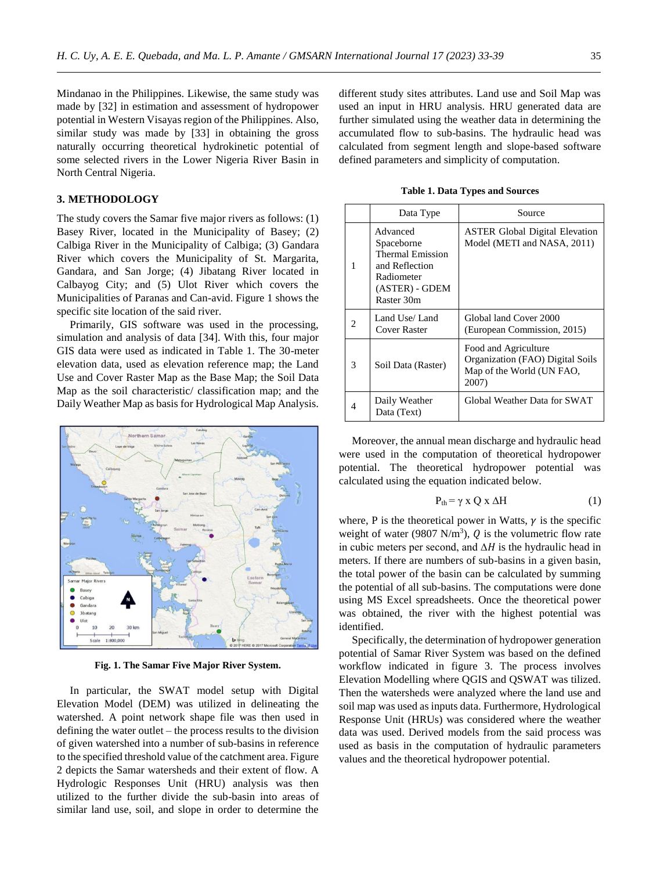Mindanao in the Philippines. Likewise, the same study was made by [32] in estimation and assessment of hydropower potential in Western Visayas region of the Philippines. Also, similar study was made by [33] in obtaining the gross naturally occurring theoretical hydrokinetic potential of some selected rivers in the Lower Nigeria River Basin in North Central Nigeria.

## **3. METHODOLOGY**

The study covers the Samar five major rivers as follows: (1) Basey River, located in the Municipality of Basey; (2) Calbiga River in the Municipality of Calbiga; (3) Gandara River which covers the Municipality of St. Margarita, Gandara, and San Jorge; (4) Jibatang River located in Calbayog City; and (5) Ulot River which covers the Municipalities of Paranas and Can-avid. Figure 1 shows the specific site location of the said river.

Primarily, GIS software was used in the processing, simulation and analysis of data [34]. With this, four major GIS data were used as indicated in Table 1. The 30-meter elevation data, used as elevation reference map; the Land Use and Cover Raster Map as the Base Map; the Soil Data Map as the soil characteristic/ classification map; and the Daily Weather Map as basis for Hydrological Map Analysis.



**Fig. 1. The Samar Five Major River System.**

In particular, the SWAT model setup with Digital Elevation Model (DEM) was utilized in delineating the watershed. A point network shape file was then used in defining the water outlet – the process results to the division of given watershed into a number of sub-basins in reference to the specified threshold value of the catchment area. Figure 2 depicts the Samar watersheds and their extent of flow. A Hydrologic Responses Unit (HRU) analysis was then utilized to the further divide the sub-basin into areas of similar land use, soil, and slope in order to determine the different study sites attributes. Land use and Soil Map was used an input in HRU analysis. HRU generated data are further simulated using the weather data in determining the accumulated flow to sub-basins. The hydraulic head was calculated from segment length and slope-based software defined parameters and simplicity of computation.

**Table 1. Data Types and Sources**

|   | Data Type                                                                                                  | Source                                                                                         |  |
|---|------------------------------------------------------------------------------------------------------------|------------------------------------------------------------------------------------------------|--|
| 1 | Advanced<br>Spaceborne<br>Thermal Emission<br>and Reflection<br>Radiometer<br>(ASTER) - GDEM<br>Raster 30m | <b>ASTER Global Digital Elevation</b><br>Model (METI and NASA, 2011)                           |  |
|   | Land Use/Land<br>Cover Raster                                                                              | Global land Cover 2000<br>(European Commission, 2015)                                          |  |
| 3 | Soil Data (Raster)                                                                                         | Food and Agriculture<br>Organization (FAO) Digital Soils<br>Map of the World (UN FAO,<br>2007) |  |
|   | Daily Weather<br>Data (Text)                                                                               | Global Weather Data for SWAT                                                                   |  |

Moreover, the annual mean discharge and hydraulic head were used in the computation of theoretical hydropower potential. The theoretical hydropower potential was calculated using the equation indicated below.

$$
P_{th} = \gamma \times Q \times \Delta H \tag{1}
$$

where, P is the theoretical power in Watts,  $\gamma$  is the specific weight of water (9807 N/m<sup>3</sup>),  $Q$  is the volumetric flow rate in cubic meters per second, and  $\Delta H$  is the hydraulic head in meters. If there are numbers of sub-basins in a given basin, the total power of the basin can be calculated by summing the potential of all sub-basins. The computations were done using MS Excel spreadsheets. Once the theoretical power was obtained, the river with the highest potential was identified.

Specifically, the determination of hydropower generation potential of Samar River System was based on the defined workflow indicated in figure 3. The process involves Elevation Modelling where QGIS and QSWAT was tilized. Then the watersheds were analyzed where the land use and soil map was used as inputs data. Furthermore, Hydrological Response Unit (HRUs) was considered where the weather data was used. Derived models from the said process was used as basis in the computation of hydraulic parameters values and the theoretical hydropower potential.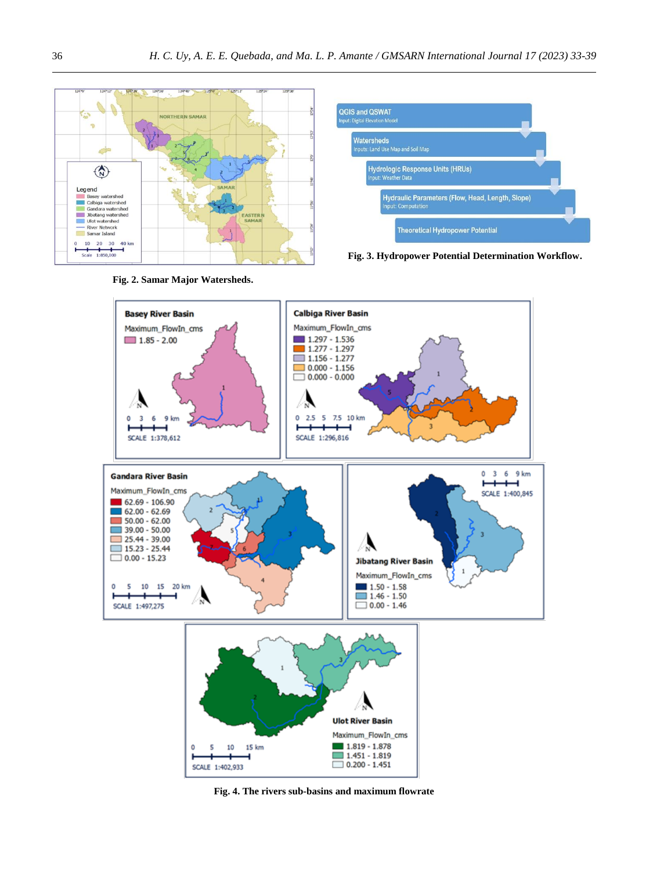



**Fig. 3. Hydropower Potential Determination Workflow.**



**Fig. 4. The rivers sub-basins and maximum flowrate**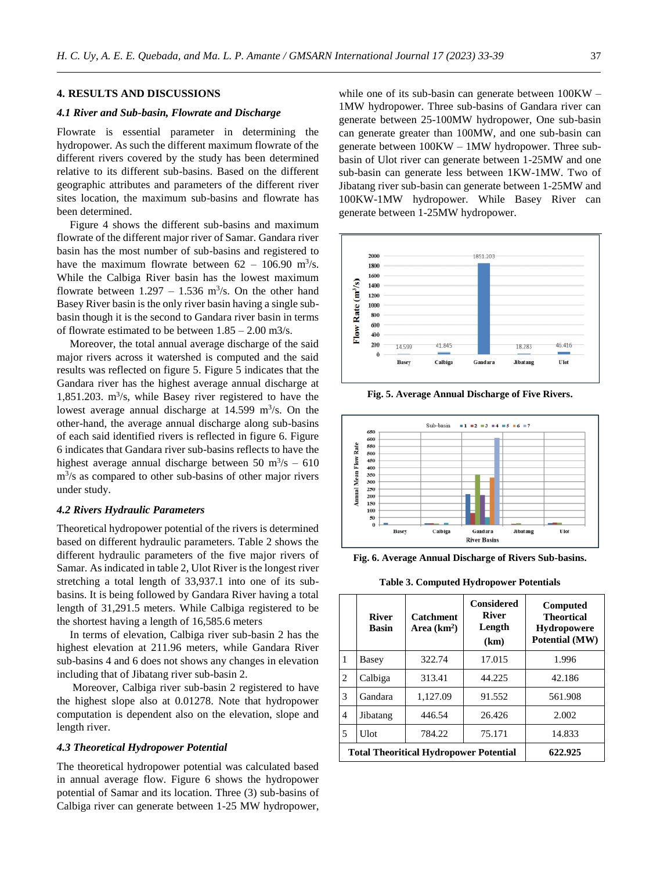## **4. RESULTS AND DISCUSSIONS**

## *4.1 River and Sub-basin, Flowrate and Discharge*

Flowrate is essential parameter in determining the hydropower. As such the different maximum flowrate of the different rivers covered by the study has been determined relative to its different sub-basins. Based on the different geographic attributes and parameters of the different river sites location, the maximum sub-basins and flowrate has been determined.

Figure 4 shows the different sub-basins and maximum flowrate of the different major river of Samar. Gandara river basin has the most number of sub-basins and registered to have the maximum flowrate between  $62 - 106.90$  m<sup>3</sup>/s. While the Calbiga River basin has the lowest maximum flowrate between  $1.297 - 1.536$  m<sup>3</sup>/s. On the other hand Basey River basin is the only river basin having a single subbasin though it is the second to Gandara river basin in terms of flowrate estimated to be between  $1.85 - 2.00$  m $3/s$ .

Moreover, the total annual average discharge of the said major rivers across it watershed is computed and the said results was reflected on figure 5. Figure 5 indicates that the Gandara river has the highest average annual discharge at 1,851.203.  $\text{m}^3\text{/s}$ , while Basey river registered to have the lowest average annual discharge at  $14.599 \text{ m}^3/\text{s}$ . On the other-hand, the average annual discharge along sub-basins of each said identified rivers is reflected in figure 6. Figure 6 indicates that Gandara river sub-basins reflects to have the highest average annual discharge between  $50 \text{ m}^3/\text{s} - 610$ m<sup>3</sup>/s as compared to other sub-basins of other major rivers under study.

#### *4.2 Rivers Hydraulic Parameters*

Theoretical hydropower potential of the rivers is determined based on different hydraulic parameters. Table 2 shows the different hydraulic parameters of the five major rivers of Samar. As indicated in table 2, Ulot River is the longest river stretching a total length of 33,937.1 into one of its subbasins. It is being followed by Gandara River having a total length of 31,291.5 meters. While Calbiga registered to be the shortest having a length of 16,585.6 meters

In terms of elevation, Calbiga river sub-basin 2 has the highest elevation at 211.96 meters, while Gandara River sub-basins 4 and 6 does not shows any changes in elevation including that of Jibatang river sub-basin 2.

Moreover, Calbiga river sub-basin 2 registered to have the highest slope also at 0.01278. Note that hydropower computation is dependent also on the elevation, slope and length river.

#### *4.3 Theoretical Hydropower Potential*

The theoretical hydropower potential was calculated based in annual average flow. Figure 6 shows the hydropower potential of Samar and its location. Three (3) sub-basins of Calbiga river can generate between 1-25 MW hydropower,

while one of its sub-basin can generate between 100KW – 1MW hydropower. Three sub-basins of Gandara river can generate between 25-100MW hydropower, One sub-basin can generate greater than 100MW, and one sub-basin can generate between 100KW – 1MW hydropower. Three subbasin of Ulot river can generate between 1-25MW and one sub-basin can generate less between 1KW-1MW. Two of Jibatang river sub-basin can generate between 1-25MW and 100KW-1MW hydropower. While Basey River can generate between 1-25MW hydropower.



**Fig. 5. Average Annual Discharge of Five Rivers.**



**Fig. 6. Average Annual Discharge of Rivers Sub-basins.**

**Table 3. Computed Hydropower Potentials**

|                | <b>River</b><br><b>Basin</b>                  | <b>Catchment</b><br>Area $(km2)$ | <b>Considered</b><br><b>River</b><br>Length<br>(km) | Computed<br><b>Theortical</b><br><b>Hydropowere</b><br>Potential (MW) |
|----------------|-----------------------------------------------|----------------------------------|-----------------------------------------------------|-----------------------------------------------------------------------|
| $\mathbf{1}$   | Basey                                         | 322.74                           | 17.015                                              | 1.996                                                                 |
| 2              | Calbiga                                       | 313.41                           | 44.225                                              | 42.186                                                                |
| 3              | Gandara                                       | 1,127.09                         | 91.552                                              | 561.908                                                               |
| $\overline{4}$ | Jibatang                                      | 446.54                           | 26.426                                              | 2.002                                                                 |
| 5              | <b>Ulot</b>                                   | 784.22                           | 75.171                                              | 14.833                                                                |
|                | <b>Total Theoritical Hydropower Potential</b> | 622.925                          |                                                     |                                                                       |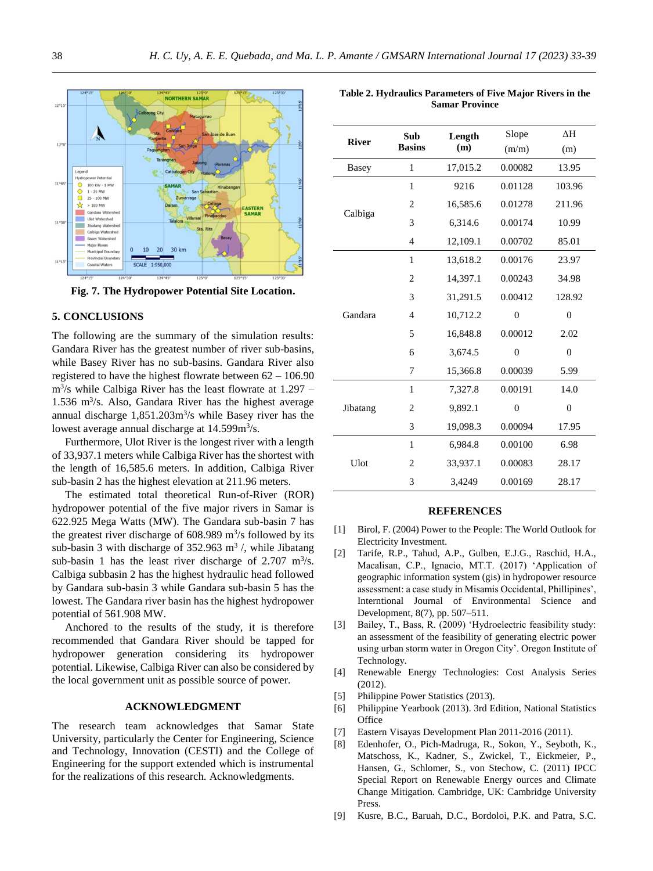

**Fig. 7. The Hydropower Potential Site Location.**

# **5. CONCLUSIONS**

The following are the summary of the simulation results: Gandara River has the greatest number of river sub-basins, while Basey River has no sub-basins. Gandara River also registered to have the highest flowrate between 62 – 106.90 m<sup>3</sup>/s while Calbiga River has the least flowrate at 1.297 – 1.536 m<sup>3</sup> /s. Also, Gandara River has the highest average annual discharge  $1,851.203 \text{m}^3/\text{s}$  while Basey river has the lowest average annual discharge at 14.599m<sup>3</sup>/s.

Furthermore, Ulot River is the longest river with a length of 33,937.1 meters while Calbiga River has the shortest with the length of 16,585.6 meters. In addition, Calbiga River sub-basin 2 has the highest elevation at 211.96 meters.

The estimated total theoretical Run-of-River (ROR) hydropower potential of the five major rivers in Samar is 622.925 Mega Watts (MW). The Gandara sub-basin 7 has the greatest river discharge of  $608.989 \text{ m}^3\text{/s}$  followed by its sub-basin 3 with discharge of  $352.963$  m<sup>3</sup>/, while Jibatang sub-basin 1 has the least river discharge of  $2.707 \text{ m}^3/\text{s}$ . Calbiga subbasin 2 has the highest hydraulic head followed by Gandara sub-basin 3 while Gandara sub-basin 5 has the lowest. The Gandara river basin has the highest hydropower potential of 561.908 MW.

Anchored to the results of the study, it is therefore recommended that Gandara River should be tapped for hydropower generation considering its hydropower potential. Likewise, Calbiga River can also be considered by the local government unit as possible source of power.

# **ACKNOWLEDGMENT**

The research team acknowledges that Samar State University, particularly the Center for Engineering, Science and Technology, Innovation (CESTI) and the College of Engineering for the support extended which is instrumental for the realizations of this research. Acknowledgments.

| <b>River</b> | Sub<br><b>Basins</b> | Length   | Slope          | ΔH             |
|--------------|----------------------|----------|----------------|----------------|
|              |                      | (m)      | (m/m)          | (m)            |
| <b>Basey</b> | 1                    | 17,015.2 | 0.00082        | 13.95          |
|              | 1                    | 9216     | 0.01128        | 103.96         |
| Calbiga      | 2                    | 16,585.6 | 0.01278        | 211.96         |
|              | 3                    | 6,314.6  | 0.00174        | 10.99          |
|              | $\overline{4}$       | 12,109.1 | 0.00702        | 85.01          |
|              | 1                    | 13,618.2 | 0.00176        | 23.97          |
|              | $\overline{2}$       | 14,397.1 | 0.00243        | 34.98          |
|              | 3                    | 31,291.5 | 0.00412        | 128.92         |
| Gandara      | 4                    | 10,712.2 | $\theta$       | $\theta$       |
|              | 5                    | 16,848.8 | 0.00012        | 2.02           |
|              | 6                    | 3,674.5  | $\theta$       | $\theta$       |
|              | 7                    | 15,366.8 | 0.00039        | 5.99           |
|              | $\mathbf{1}$         | 7,327.8  | 0.00191        | 14.0           |
| Jibatang     | 2                    | 9,892.1  | $\overline{0}$ | $\overline{0}$ |
|              | 3                    | 19,098.3 | 0.00094        | 17.95          |
|              | 1                    | 6.984.8  | 0.00100        | 6.98           |
| Ulot         | 2                    | 33,937.1 | 0.00083        | 28.17          |
|              | 3                    | 3,4249   | 0.00169        | 28.17          |

## **REFERENCES**

- [1] Birol, F. (2004) Power to the People: The World Outlook for Electricity Investment.
- [2] Tarife, R.P., Tahud, A.P., Gulben, E.J.G., Raschid, H.A., Macalisan, C.P., Ignacio, MT.T. (2017) 'Application of geographic information system (gis) in hydropower resource assessment: a case study in Misamis Occidental, Phillipines', Interntional Journal of Environmental Science and Development, 8(7), pp. 507–511.
- [3] Bailey, T., Bass, R. (2009) 'Hydroelectric feasibility study: an assessment of the feasibility of generating electric power using urban storm water in Oregon City'. Oregon Institute of Technology.
- [4] Renewable Energy Technologies: Cost Analysis Series (2012).
- [5] Philippine Power Statistics (2013).
- [6] Philippine Yearbook (2013). 3rd Edition, National Statistics **Office**
- [7] Eastern Visayas Development Plan 2011-2016 (2011).
- [8] Edenhofer, O., Pich-Madruga, R., Sokon, Y., Seyboth, K., Matschoss, K., Kadner, S., Zwickel, T., Eickmeier, P., Hansen, G., Schlomer, S., von Stechow, C. (2011) IPCC Special Report on Renewable Energy ources and Climate Change Mitigation. Cambridge, UK: Cambridge University Press.
- [9] Kusre, B.C., Baruah, D.C., Bordoloi, P.K. and Patra, S.C.

**Table 2. Hydraulics Parameters of Five Major Rivers in the Samar Province**